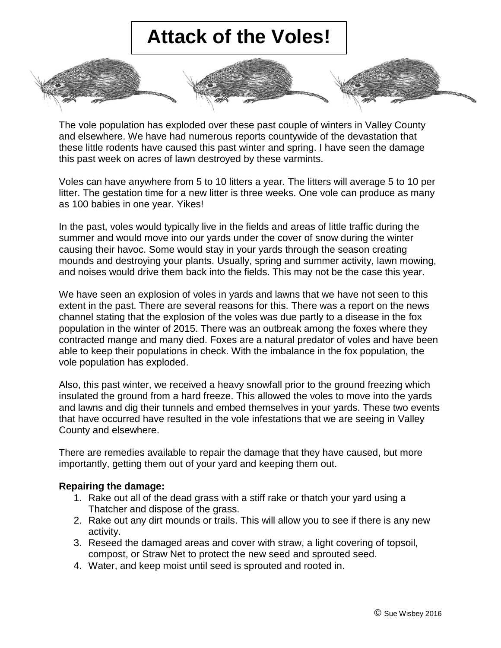## **Attack of the Voles!**



Voles can have anywhere from 5 to 10 litters a year. The litters will average 5 to 10 per litter. The gestation time for a new litter is three weeks. One vole can produce as many as 100 babies in one year. Yikes!

In the past, voles would typically live in the fields and areas of little traffic during the summer and would move into our yards under the cover of snow during the winter causing their havoc. Some would stay in your yards through the season creating mounds and destroying your plants. Usually, spring and summer activity, lawn mowing, and noises would drive them back into the fields. This may not be the case this year.

We have seen an explosion of voles in yards and lawns that we have not seen to this extent in the past. There are several reasons for this. There was a report on the news channel stating that the explosion of the voles was due partly to a disease in the fox population in the winter of 2015. There was an outbreak among the foxes where they contracted mange and many died. Foxes are a natural predator of voles and have been able to keep their populations in check. With the imbalance in the fox population, the vole population has exploded.

Also, this past winter, we received a heavy snowfall prior to the ground freezing which insulated the ground from a hard freeze. This allowed the voles to move into the yards and lawns and dig their tunnels and embed themselves in your yards. These two events that have occurred have resulted in the vole infestations that we are seeing in Valley County and elsewhere.

There are remedies available to repair the damage that they have caused, but more importantly, getting them out of your yard and keeping them out.

## **Repairing the damage:**

- 1. Rake out all of the dead grass with a stiff rake or thatch your yard using a Thatcher and dispose of the grass.
- 2. Rake out any dirt mounds or trails. This will allow you to see if there is any new activity.
- 3. Reseed the damaged areas and cover with straw, a light covering of topsoil, compost, or Straw Net to protect the new seed and sprouted seed.
- 4. Water, and keep moist until seed is sprouted and rooted in.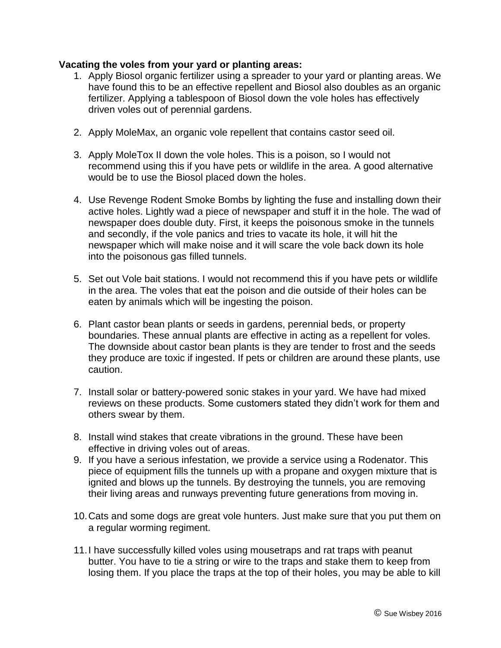## **Vacating the voles from your yard or planting areas:**

- 1. Apply Biosol organic fertilizer using a spreader to your yard or planting areas. We have found this to be an effective repellent and Biosol also doubles as an organic fertilizer. Applying a tablespoon of Biosol down the vole holes has effectively driven voles out of perennial gardens.
- 2. Apply MoleMax, an organic vole repellent that contains castor seed oil.
- 3. Apply MoleTox II down the vole holes. This is a poison, so I would not recommend using this if you have pets or wildlife in the area. A good alternative would be to use the Biosol placed down the holes.
- 4. Use Revenge Rodent Smoke Bombs by lighting the fuse and installing down their active holes. Lightly wad a piece of newspaper and stuff it in the hole. The wad of newspaper does double duty. First, it keeps the poisonous smoke in the tunnels and secondly, if the vole panics and tries to vacate its hole, it will hit the newspaper which will make noise and it will scare the vole back down its hole into the poisonous gas filled tunnels.
- 5. Set out Vole bait stations. I would not recommend this if you have pets or wildlife in the area. The voles that eat the poison and die outside of their holes can be eaten by animals which will be ingesting the poison.
- 6. Plant castor bean plants or seeds in gardens, perennial beds, or property boundaries. These annual plants are effective in acting as a repellent for voles. The downside about castor bean plants is they are tender to frost and the seeds they produce are toxic if ingested. If pets or children are around these plants, use caution.
- 7. Install solar or battery-powered sonic stakes in your yard. We have had mixed reviews on these products. Some customers stated they didn't work for them and others swear by them.
- 8. Install wind stakes that create vibrations in the ground. These have been effective in driving voles out of areas.
- 9. If you have a serious infestation, we provide a service using a Rodenator. This piece of equipment fills the tunnels up with a propane and oxygen mixture that is ignited and blows up the tunnels. By destroying the tunnels, you are removing their living areas and runways preventing future generations from moving in.
- 10.Cats and some dogs are great vole hunters. Just make sure that you put them on a regular worming regiment.
- 11.I have successfully killed voles using mousetraps and rat traps with peanut butter. You have to tie a string or wire to the traps and stake them to keep from losing them. If you place the traps at the top of their holes, you may be able to kill